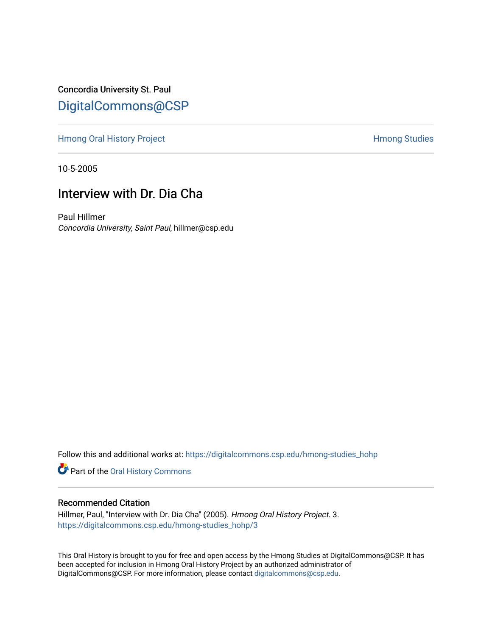Concordia University St. Paul [DigitalCommons@CSP](https://digitalcommons.csp.edu/)

[Hmong Oral History Project](https://digitalcommons.csp.edu/hmong-studies_hohp) **Hermitian Studies** Hmong Studies

10-5-2005

# Interview with Dr. Dia Cha

Paul Hillmer Concordia University, Saint Paul, hillmer@csp.edu

Follow this and additional works at: [https://digitalcommons.csp.edu/hmong-studies\\_hohp](https://digitalcommons.csp.edu/hmong-studies_hohp?utm_source=digitalcommons.csp.edu%2Fhmong-studies_hohp%2F3&utm_medium=PDF&utm_campaign=PDFCoverPages)

Part of the [Oral History Commons](http://network.bepress.com/hgg/discipline/1195?utm_source=digitalcommons.csp.edu%2Fhmong-studies_hohp%2F3&utm_medium=PDF&utm_campaign=PDFCoverPages) 

#### Recommended Citation

Hillmer, Paul, "Interview with Dr. Dia Cha" (2005). Hmong Oral History Project. 3. [https://digitalcommons.csp.edu/hmong-studies\\_hohp/3](https://digitalcommons.csp.edu/hmong-studies_hohp/3?utm_source=digitalcommons.csp.edu%2Fhmong-studies_hohp%2F3&utm_medium=PDF&utm_campaign=PDFCoverPages) 

This Oral History is brought to you for free and open access by the Hmong Studies at DigitalCommons@CSP. It has been accepted for inclusion in Hmong Oral History Project by an authorized administrator of DigitalCommons@CSP. For more information, please contact [digitalcommons@csp.edu](mailto:digitalcommons@csp.edu).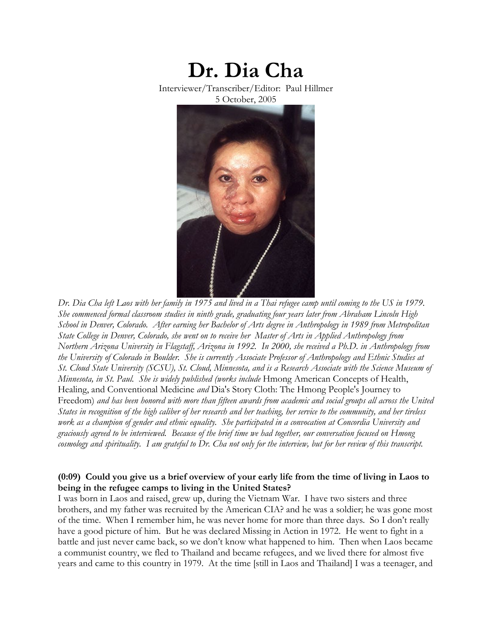

*Dr. Dia Cha left Laos with her family in 1975 and lived in a Thai refugee camp until coming to the US in 1979. She commenced formal classroom studies in ninth grade, graduating four years later from Abraham Lincoln High School in Denver, Colorado. After earning her Bachelor of Arts degree in Anthropology in 1989 from Metropolitan State College in Denver, Colorado, she went on to receive her Master of Arts in Applied Anthropology from Northern Arizona University in Flagstaff, Arizona in 1992. In 2000, she received a Ph.D. in Anthropology from the University of Colorado in Boulder. She is currently Associate Professor of Anthropology and Ethnic Studies at St. Cloud State University (SCSU), St. Cloud, Minnesota, and is a Research Associate with the Science Museum of Minnesota, in St. Paul. She is widely published (works include* Hmong American Concepts of Health, Healing, and Conventional Medicine *and* Dia's Story Cloth: The Hmong People's Journey to Freedom) *and has been honored with more than fifteen awards from academic and social groups all across the United States in recognition of the high caliber of her research and her teaching, her service to the community, and her tireless work as a champion of gender and ethnic equality. She participated in a convocation at Concordia University and graciously agreed to be interviewed. Because of the brief time we had together, our conversation focused on Hmong cosmology and spirituality. I am grateful to Dr. Cha not only for the interview, but for her review of this transcript.* 

#### **(0:09) Could you give us a brief overview of your early life from the time of living in Laos to being in the refugee camps to living in the United States?**

I was born in Laos and raised, grew up, during the Vietnam War. I have two sisters and three brothers, and my father was recruited by the American CIA? and he was a soldier; he was gone most of the time. When I remember him, he was never home for more than three days. So I don't really have a good picture of him. But he was declared Missing in Action in 1972. He went to fight in a battle and just never came back, so we don't know what happened to him. Then when Laos became a communist country, we fled to Thailand and became refugees, and we lived there for almost five years and came to this country in 1979. At the time [still in Laos and Thailand] I was a teenager, and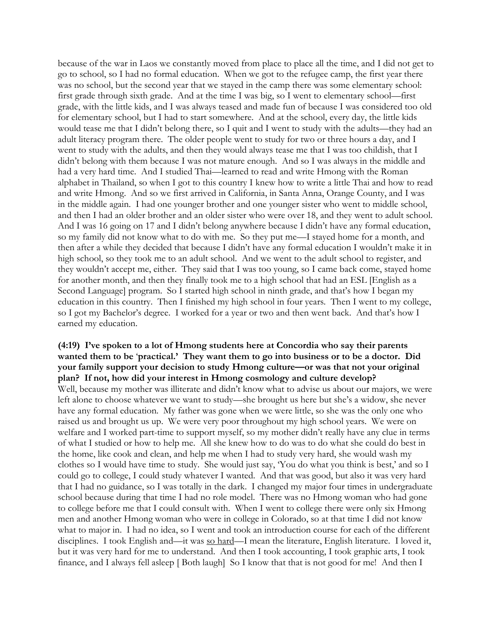because of the war in Laos we constantly moved from place to place all the time, and I did not get to go to school, so I had no formal education. When we got to the refugee camp, the first year there was no school, but the second year that we stayed in the camp there was some elementary school: first grade through sixth grade. And at the time I was big, so I went to elementary school—first grade, with the little kids, and I was always teased and made fun of because I was considered too old for elementary school, but I had to start somewhere. And at the school, every day, the little kids would tease me that I didn't belong there, so I quit and I went to study with the adults—they had an adult literacy program there. The older people went to study for two or three hours a day, and I went to study with the adults, and then they would always tease me that I was too childish, that I didn't belong with them because I was not mature enough. And so I was always in the middle and had a very hard time. And I studied Thai—learned to read and write Hmong with the Roman alphabet in Thailand, so when I got to this country I knew how to write a little Thai and how to read and write Hmong. And so we first arrived in California, in Santa Anna, Orange County, and I was in the middle again. I had one younger brother and one younger sister who went to middle school, and then I had an older brother and an older sister who were over 18, and they went to adult school. And I was 16 going on 17 and I didn't belong anywhere because I didn't have any formal education, so my family did not know what to do with me. So they put me—I stayed home for a month, and then after a while they decided that because I didn't have any formal education I wouldn't make it in high school, so they took me to an adult school. And we went to the adult school to register, and they wouldn't accept me, either. They said that I was too young, so I came back come, stayed home for another month, and then they finally took me to a high school that had an ESL [English as a Second Language] program. So I started high school in ninth grade, and that's how I began my education in this country. Then I finished my high school in four years. Then I went to my college, so I got my Bachelor's degree. I worked for a year or two and then went back. And that's how I earned my education.

#### **(4:19) I've spoken to a lot of Hmong students here at Concordia who say their parents wanted them to be** '**practical.' They want them to go into business or to be a doctor. Did your family support your decision to study Hmong culture—or was that not your original plan? If not, how did your interest in Hmong cosmology and culture develop?**

Well, because my mother was illiterate and didn't know what to advise us about our majors, we were left alone to choose whatever we want to study—she brought us here but she's a widow, she never have any formal education. My father was gone when we were little, so she was the only one who raised us and brought us up. We were very poor throughout my high school years. We were on welfare and I worked part-time to support myself, so my mother didn't really have any clue in terms of what I studied or how to help me. All she knew how to do was to do what she could do best in the home, like cook and clean, and help me when I had to study very hard, she would wash my clothes so I would have time to study. She would just say, 'You do what you think is best,' and so I could go to college, I could study whatever I wanted. And that was good, but also it was very hard that I had no guidance, so I was totally in the dark. I changed my major four times in undergraduate school because during that time I had no role model. There was no Hmong woman who had gone to college before me that I could consult with. When I went to college there were only six Hmong men and another Hmong woman who were in college in Colorado, so at that time I did not know what to major in. I had no idea, so I went and took an introduction course for each of the different disciplines. I took English and—it was so hard—I mean the literature, English literature. I loved it, but it was very hard for me to understand. And then I took accounting, I took graphic arts, I took finance, and I always fell asleep [ Both laugh] So I know that that is not good for me! And then I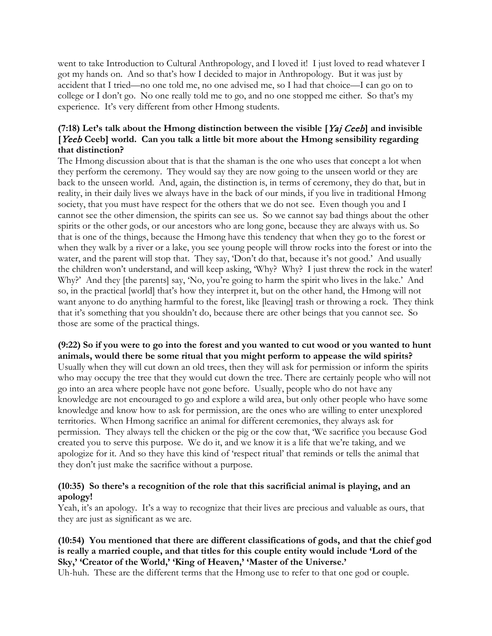went to take Introduction to Cultural Anthropology, and I loved it! I just loved to read whatever I got my hands on. And so that's how I decided to major in Anthropology. But it was just by accident that I tried—no one told me, no one advised me, so I had that choice—I can go on to college or I don't go. No one really told me to go, and no one stopped me either. So that's my experience. It's very different from other Hmong students.

## **(7:18) Let's talk about the Hmong distinction between the visible [**Yaj Ceeb**] and invisible [**Yeeb **Ceeb] world. Can you talk a little bit more about the Hmong sensibility regarding that distinction?**

The Hmong discussion about that is that the shaman is the one who uses that concept a lot when they perform the ceremony. They would say they are now going to the unseen world or they are back to the unseen world. And, again, the distinction is, in terms of ceremony, they do that, but in reality, in their daily lives we always have in the back of our minds, if you live in traditional Hmong society, that you must have respect for the others that we do not see. Even though you and I cannot see the other dimension, the spirits can see us. So we cannot say bad things about the other spirits or the other gods, or our ancestors who are long gone, because they are always with us. So that is one of the things, because the Hmong have this tendency that when they go to the forest or when they walk by a river or a lake, you see young people will throw rocks into the forest or into the water, and the parent will stop that. They say, 'Don't do that, because it's not good.' And usually the children won't understand, and will keep asking, 'Why? Why? I just threw the rock in the water! Why?' And they [the parents] say, 'No, you're going to harm the spirit who lives in the lake.' And so, in the practical [world] that's how they interpret it, but on the other hand, the Hmong will not want anyone to do anything harmful to the forest, like [leaving] trash or throwing a rock. They think that it's something that you shouldn't do, because there are other beings that you cannot see. So those are some of the practical things.

**(9:22) So if you were to go into the forest and you wanted to cut wood or you wanted to hunt animals, would there be some ritual that you might perform to appease the wild spirits?** Usually when they will cut down an old trees, then they will ask for permission or inform the spirits who may occupy the tree that they would cut down the tree. There are certainly people who will not go into an area where people have not gone before. Usually, people who do not have any knowledge are not encouraged to go and explore a wild area, but only other people who have some knowledge and know how to ask for permission, are the ones who are willing to enter unexplored territories. When Hmong sacrifice an animal for different ceremonies, they always ask for permission. They always tell the chicken or the pig or the cow that, 'We sacrifice you because God created you to serve this purpose. We do it, and we know it is a life that we're taking, and we apologize for it. And so they have this kind of 'respect ritual' that reminds or tells the animal that they don't just make the sacrifice without a purpose.

#### **(10:35) So there's a recognition of the role that this sacrificial animal is playing, and an apology!**

Yeah, it's an apology. It's a way to recognize that their lives are precious and valuable as ours, that they are just as significant as we are.

## **(10:54) You mentioned that there are different classifications of gods, and that the chief god is really a married couple, and that titles for this couple entity would include 'Lord of the Sky,' 'Creator of the World,' 'King of Heaven,' 'Master of the Universe.'**

Uh-huh. These are the different terms that the Hmong use to refer to that one god or couple.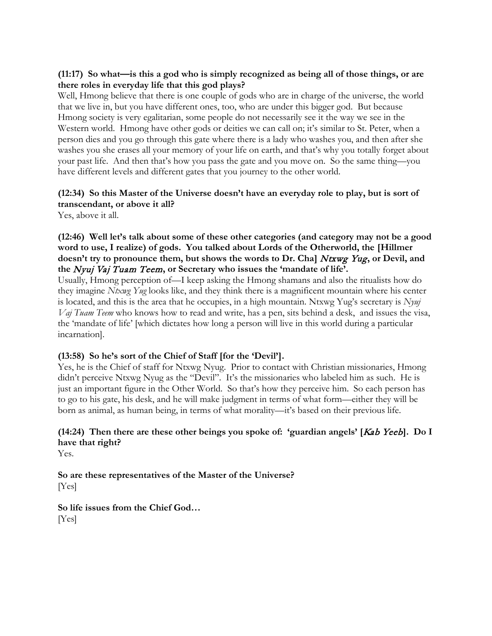#### **(11:17) So what—is this a god who is simply recognized as being all of those things, or are there roles in everyday life that this god plays?**

Well, Hmong believe that there is one couple of gods who are in charge of the universe, the world that we live in, but you have different ones, too, who are under this bigger god. But because Hmong society is very egalitarian, some people do not necessarily see it the way we see in the Western world. Hmong have other gods or deities we can call on; it's similar to St. Peter, when a person dies and you go through this gate where there is a lady who washes you, and then after she washes you she erases all your memory of your life on earth, and that's why you totally forget about your past life. And then that's how you pass the gate and you move on. So the same thing—you have different levels and different gates that you journey to the other world.

## **(12:34) So this Master of the Universe doesn't have an everyday role to play, but is sort of transcendant, or above it all?**

Yes, above it all.

#### **(12:46) Well let's talk about some of these other categories (and category may not be a good word to use, I realize) of gods. You talked about Lords of the Otherworld, the [Hillmer**  doesn't try to pronounce them, but shows the words to Dr. Cha] Ntxwg Yug, or Devil, and **the** Nyuj Vaj Tuam Teem**, or Secretary who issues the 'mandate of life'.**

Usually, Hmong perception of—I keep asking the Hmong shamans and also the ritualists how do they imagine *Ntxwg Yug* looks like, and they think there is a magnificent mountain where his center is located, and this is the area that he occupies, in a high mountain. Ntxwg Yug's secretary is *Nyuj Vaj Tuam Teem* who knows how to read and write, has a pen, sits behind a desk, and issues the visa, the 'mandate of life' [which dictates how long a person will live in this world during a particular incarnation].

#### **(13:58) So he's sort of the Chief of Staff [for the 'Devil'].**

Yes, he is the Chief of staff for Ntxwg Nyug. Prior to contact with Christian missionaries, Hmong didn't perceive Ntxwg Nyug as the "Devil". It's the missionaries who labeled him as such. He is just an important figure in the Other World. So that's how they perceive him. So each person has to go to his gate, his desk, and he will make judgment in terms of what form—either they will be born as animal, as human being, in terms of what morality—it's based on their previous life.

## **(14:24) Then there are these other beings you spoke of: 'guardian angels' [**Kab Yeeb**]. Do I have that right?**

Yes.

**So are these representatives of the Master of the Universe?** [Yes]

**So life issues from the Chief God…** [Yes]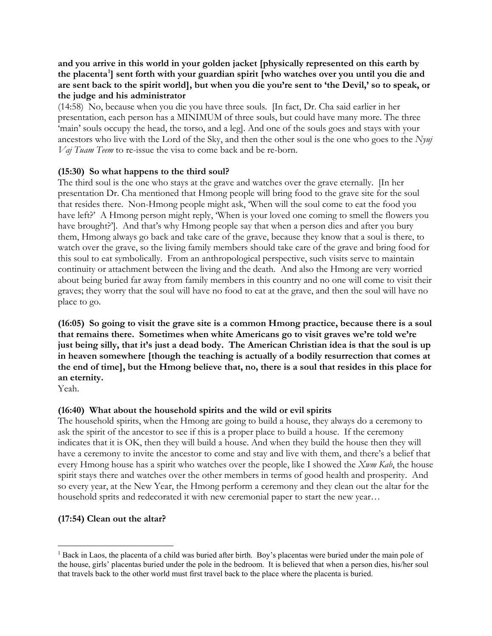**and you arrive in this world in your golden jacket [physically represented on this earth by the placenta[1](#page-5-0) ] sent forth with your guardian spirit [who watches over you until you die and are sent back to the spirit world], but when you die you're sent to 'the Devil,' so to speak, or the judge and his administrator**

(14:58) No, because when you die you have three souls. [In fact, Dr. Cha said earlier in her presentation, each person has a MINIMUM of three souls, but could have many more. The three 'main' souls occupy the head, the torso, and a leg]. And one of the souls goes and stays with your ancestors who live with the Lord of the Sky, and then the other soul is the one who goes to the *Nyuj Vaj Tuam Teem* to re-issue the visa to come back and be re-born.

#### **(15:30) So what happens to the third soul?**

The third soul is the one who stays at the grave and watches over the grave eternally. [In her presentation Dr. Cha mentioned that Hmong people will bring food to the grave site for the soul that resides there. Non-Hmong people might ask, 'When will the soul come to eat the food you have left?' A Hmong person might reply, 'When is your loved one coming to smell the flowers you have brought?']. And that's why Hmong people say that when a person dies and after you bury them, Hmong always go back and take care of the grave, because they know that a soul is there, to watch over the grave, so the living family members should take care of the grave and bring food for this soul to eat symbolically. From an anthropological perspective, such visits serve to maintain continuity or attachment between the living and the death. And also the Hmong are very worried about being buried far away from family members in this country and no one will come to visit their graves; they worry that the soul will have no food to eat at the grave, and then the soul will have no place to go.

**(16:05) So going to visit the grave site is a common Hmong practice, because there is a soul that remains there. Sometimes when white Americans go to visit graves we're told we're just being silly, that it's just a dead body. The American Christian idea is that the soul is up in heaven somewhere [though the teaching is actually of a bodily resurrection that comes at the end of time], but the Hmong believe that, no, there is a soul that resides in this place for an eternity.**

Yeah.

## **(16:40) What about the household spirits and the wild or evil spirits**

The household spirits, when the Hmong are going to build a house, they always do a ceremony to ask the spirit of the ancestor to see if this is a proper place to build a house. If the ceremony indicates that it is OK, then they will build a house. And when they build the house then they will have a ceremony to invite the ancestor to come and stay and live with them, and there's a belief that every Hmong house has a spirit who watches over the people, like I showed the *Xwm Kab*, the house spirit stays there and watches over the other members in terms of good health and prosperity. And so every year, at the New Year, the Hmong perform a ceremony and they clean out the altar for the household sprits and redecorated it with new ceremonial paper to start the new year…

## **(17:54) Clean out the altar?**

<span id="page-5-0"></span><sup>&</sup>lt;sup>1</sup> Back in Laos, the placenta of a child was buried after birth. Boy's placentas were buried under the main pole of the house, girls' placentas buried under the pole in the bedroom. It is believed that when a person dies, his/her soul that travels back to the other world must first travel back to the place where the placenta is buried.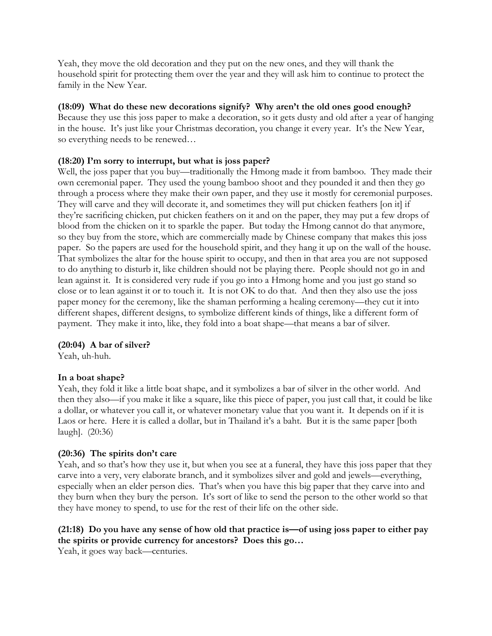Yeah, they move the old decoration and they put on the new ones, and they will thank the household spirit for protecting them over the year and they will ask him to continue to protect the family in the New Year.

## **(18:09) What do these new decorations signify? Why aren't the old ones good enough?**

Because they use this joss paper to make a decoration, so it gets dusty and old after a year of hanging in the house. It's just like your Christmas decoration, you change it every year. It's the New Year, so everything needs to be renewed…

## **(18:20) I'm sorry to interrupt, but what is joss paper?**

Well, the joss paper that you buy—traditionally the Hmong made it from bamboo. They made their own ceremonial paper. They used the young bamboo shoot and they pounded it and then they go through a process where they make their own paper, and they use it mostly for ceremonial purposes. They will carve and they will decorate it, and sometimes they will put chicken feathers [on it] if they're sacrificing chicken, put chicken feathers on it and on the paper, they may put a few drops of blood from the chicken on it to sparkle the paper. But today the Hmong cannot do that anymore, so they buy from the store, which are commercially made by Chinese company that makes this joss paper. So the papers are used for the household spirit, and they hang it up on the wall of the house. That symbolizes the altar for the house spirit to occupy, and then in that area you are not supposed to do anything to disturb it, like children should not be playing there. People should not go in and lean against it. It is considered very rude if you go into a Hmong home and you just go stand so close or to lean against it or to touch it. It is not OK to do that. And then they also use the joss paper money for the ceremony, like the shaman performing a healing ceremony—they cut it into different shapes, different designs, to symbolize different kinds of things, like a different form of payment. They make it into, like, they fold into a boat shape—that means a bar of silver.

## **(20:04) A bar of silver?**

Yeah, uh-huh.

## **In a boat shape?**

Yeah, they fold it like a little boat shape, and it symbolizes a bar of silver in the other world. And then they also—if you make it like a square, like this piece of paper, you just call that, it could be like a dollar, or whatever you call it, or whatever monetary value that you want it. It depends on if it is Laos or here. Here it is called a dollar, but in Thailand it's a baht. But it is the same paper [both laugh]. (20:36)

## **(20:36) The spirits don't care**

Yeah, and so that's how they use it, but when you see at a funeral, they have this joss paper that they carve into a very, very elaborate branch, and it symbolizes silver and gold and jewels—everything, especially when an elder person dies. That's when you have this big paper that they carve into and they burn when they bury the person. It's sort of like to send the person to the other world so that they have money to spend, to use for the rest of their life on the other side.

#### **(21:18) Do you have any sense of how old that practice is—of using joss paper to either pay the spirits or provide currency for ancestors? Does this go…**

Yeah, it goes way back—centuries.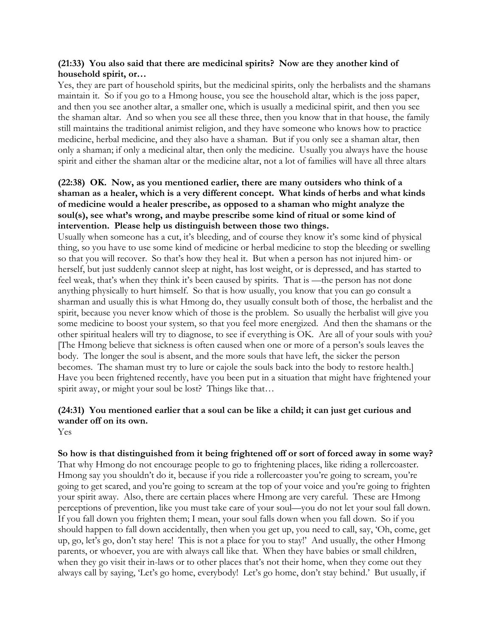#### **(21:33) You also said that there are medicinal spirits? Now are they another kind of household spirit, or…**

Yes, they are part of household spirits, but the medicinal spirits, only the herbalists and the shamans maintain it. So if you go to a Hmong house, you see the household altar, which is the joss paper, and then you see another altar, a smaller one, which is usually a medicinal spirit, and then you see the shaman altar. And so when you see all these three, then you know that in that house, the family still maintains the traditional animist religion, and they have someone who knows how to practice medicine, herbal medicine, and they also have a shaman. But if you only see a shaman altar, then only a shaman; if only a medicinal altar, then only the medicine. Usually you always have the house spirit and either the shaman altar or the medicine altar, not a lot of families will have all three altars

#### **(22:38) OK. Now, as you mentioned earlier, there are many outsiders who think of a shaman as a healer, which is a very different concept. What kinds of herbs and what kinds of medicine would a healer prescribe, as opposed to a shaman who might analyze the soul(s), see what's wrong, and maybe prescribe some kind of ritual or some kind of intervention. Please help us distinguish between those two things.**

Usually when someone has a cut, it's bleeding, and of course they know it's some kind of physical thing, so you have to use some kind of medicine or herbal medicine to stop the bleeding or swelling so that you will recover. So that's how they heal it. But when a person has not injured him- or herself, but just suddenly cannot sleep at night, has lost weight, or is depressed, and has started to feel weak, that's when they think it's been caused by spirits. That is —the person has not done anything physically to hurt himself. So that is how usually, you know that you can go consult a sharman and usually this is what Hmong do, they usually consult both of those, the herbalist and the spirit, because you never know which of those is the problem. So usually the herbalist will give you some medicine to boost your system, so that you feel more energized. And then the shamans or the other spiritual healers will try to diagnose, to see if everything is OK. Are all of your souls with you? [The Hmong believe that sickness is often caused when one or more of a person's souls leaves the body. The longer the soul is absent, and the more souls that have left, the sicker the person becomes. The shaman must try to lure or cajole the souls back into the body to restore health.] Have you been frightened recently, have you been put in a situation that might have frightened your spirit away, or might your soul be lost? Things like that...

## **(24:31) You mentioned earlier that a soul can be like a child; it can just get curious and wander off on its own.**

Yes

**So how is that distinguished from it being frightened off or sort of forced away in some way?** That why Hmong do not encourage people to go to frightening places, like riding a rollercoaster. Hmong say you shouldn't do it, because if you ride a rollercoaster you're going to scream, you're going to get scared, and you're going to scream at the top of your voice and you're going to frighten your spirit away. Also, there are certain places where Hmong are very careful. These are Hmong perceptions of prevention, like you must take care of your soul—you do not let your soul fall down. If you fall down you frighten them; I mean, your soul falls down when you fall down. So if you should happen to fall down accidentally, then when you get up, you need to call, say, 'Oh, come, get up, go, let's go, don't stay here! This is not a place for you to stay!' And usually, the other Hmong parents, or whoever, you are with always call like that. When they have babies or small children, when they go visit their in-laws or to other places that's not their home, when they come out they always call by saying, 'Let's go home, everybody! Let's go home, don't stay behind.' But usually, if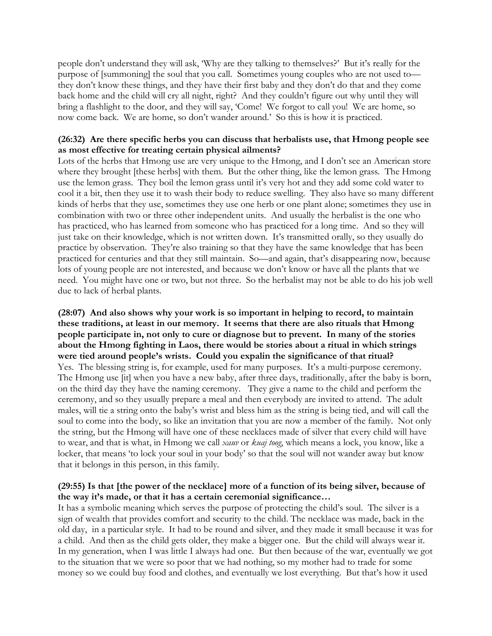people don't understand they will ask, 'Why are they talking to themselves?' But it's really for the purpose of [summoning] the soul that you call. Sometimes young couples who are not used to they don't know these things, and they have their first baby and they don't do that and they come back home and the child will cry all night, right? And they couldn't figure out why until they will bring a flashlight to the door, and they will say, 'Come! We forgot to call you! We are home, so now come back. We are home, so don't wander around.' So this is how it is practiced.

#### **(26:32) Are there specific herbs you can discuss that herbalists use, that Hmong people see as most effective for treating certain physical ailments?**

Lots of the herbs that Hmong use are very unique to the Hmong, and I don't see an American store where they brought [these herbs] with them. But the other thing, like the lemon grass. The Hmong use the lemon grass. They boil the lemon grass until it's very hot and they add some cold water to cool it a bit, then they use it to wash their body to reduce swelling. They also have so many different kinds of herbs that they use, sometimes they use one herb or one plant alone; sometimes they use in combination with two or three other independent units. And usually the herbalist is the one who has practiced, who has learned from someone who has practiced for a long time. And so they will just take on their knowledge, which is not written down. It's transmitted orally, so they usually do practice by observation. They're also training so that they have the same knowledge that has been practiced for centuries and that they still maintain. So—and again, that's disappearing now, because lots of young people are not interested, and because we don't know or have all the plants that we need. You might have one or two, but not three. So the herbalist may not be able to do his job well due to lack of herbal plants.

**(28:07) And also shows why your work is so important in helping to record, to maintain these traditions, at least in our memory. It seems that there are also rituals that Hmong people participate in, not only to cure or diagnose but to prevent. In many of the stories about the Hmong fighting in Laos, there would be stories about a ritual in which strings were tied around people's wrists. Could you expalin the significance of that ritual?** Yes. The blessing string is, for example, used for many purposes. It's a multi-purpose ceremony. The Hmong use [it] when you have a new baby, after three days, traditionally, after the baby is born, on the third day they have the naming ceremony. They give a name to the child and perform the ceremony, and so they usually prepare a meal and then everybody are invited to attend. The adult males, will tie a string onto the baby's wrist and bless him as the string is being tied, and will call the soul to come into the body, so like an invitation that you are now a member of the family. Not only the string, but the Hmong will have one of these necklaces made of silver that every child will have to wear, and that is what, in Hmong we call *xauv* or *kuaj toog*, which means a lock, you know, like a locker, that means 'to lock your soul in your body' so that the soul will not wander away but know that it belongs in this person, in this family.

#### **(29:55) Is that [the power of the necklace] more of a function of its being silver, because of the way it's made, or that it has a certain ceremonial significance…**

It has a symbolic meaning which serves the purpose of protecting the child's soul. The silver is a sign of wealth that provides comfort and security to the child. The necklace was made, back in the old day, in a particular style. It had to be round and silver, and they made it small because it was for a child. And then as the child gets older, they make a bigger one. But the child will always wear it. In my generation, when I was little I always had one. But then because of the war, eventually we got to the situation that we were so poor that we had nothing, so my mother had to trade for some money so we could buy food and clothes, and eventually we lost everything. But that's how it used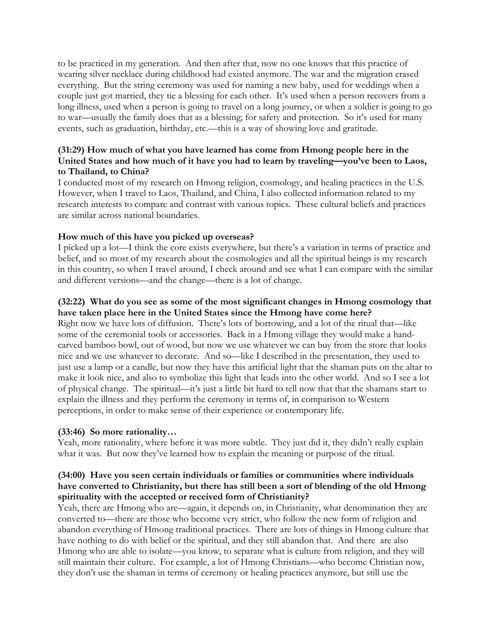to be practiced in my generation. And then after that, now no one knows that this practice of wearing silver necklace during childhood had existed anymore. The war and the migration erased everything. But the string ceremony was used for naming a new baby, used for weddings when a couple just got married, they tie a blessing for each other. It's used when a person recovers from a long illness, used when a person is going to travel on a long journey, or when a soldier is going to go to war—usually the family does that as a blessing; for safety and protection. So it's used for many events, such as graduation, birthday, etc.—this is a way of showing love and gratitude.

#### **(31:29) How much of what you have learned has come from Hmong people here in the United States and how much of it have you had to learn by traveling—you've been to Laos, to Thailand, to China?**

I conducted most of my research on Hmong religion, cosmology, and healing practices in the U.S. However, when I travel to Laos, Thailand, and China, I also collected information related to my research interests to compare and contrast with various topics. These cultural beliefs and practices are similar across national boundaries.

#### **How much of this have you picked up overseas?**

I picked up a lot—I think the core exists everywhere, but there's a variation in terms of practice and belief, and so most of my research about the cosmologies and all the spiritual beings is my research in this country, so when I travel around, I check around and see what I can compare with the similar and different versions—and the change—there is a lot of change.

#### **(32:22) What do you see as some of the most significant changes in Hmong cosmology that have taken place here in the United States since the Hmong have come here?**

Right now we have lots of diffusion. There's lots of borrowing, and a lot of the ritual that—like some of the ceremonial tools or accessories. Back in a Hmong village they would make a handcarved bamboo bowl, out of wood, but now we use whatever we can buy from the store that looks nice and we use whatever to decorate. And so—like I described in the presentation, they used to just use a lamp or a candle, but now they have this artificial light that the shaman puts on the altar to make it look nice, and also to symbolize this light that leads into the other world. And so I see a lot of physical change. The spiritual—it's just a little bit hard to tell now that that the shamans start to explain the illness and they perform the ceremony in terms of, in comparison to Western perceptions, in order to make sense of their experience or contemporary life.

#### **(33:46) So more rationality…**

Yeah, more rationality, where before it was more subtle. They just did it, they didn't really explain what it was. But now they've learned how to explain the meaning or purpose of the ritual.

#### **(34:00) Have you seen certain individuals or families or communities where individuals have converted to Christianity, but there has still been a sort of blending of the old Hmong spirituality with the accepted or received form of Christianity?**

Yeah, there are Hmong who are—again, it depends on, in Christianity, what denomination they are converted to—there are those who become very strict, who follow the new form of religion and abandon everything of Hmong traditional practices. There are lots of things in Hmong culture that have nothing to do with belief or the spiritual, and they still abandon that. And there are also Hmong who are able to isolate—you know, to separate what is culture from religion, and they will still maintain their culture. For example, a lot of Hmong Christians—who become Christian now, they don't use the shaman in terms of ceremony or healing practices anymore, but still use the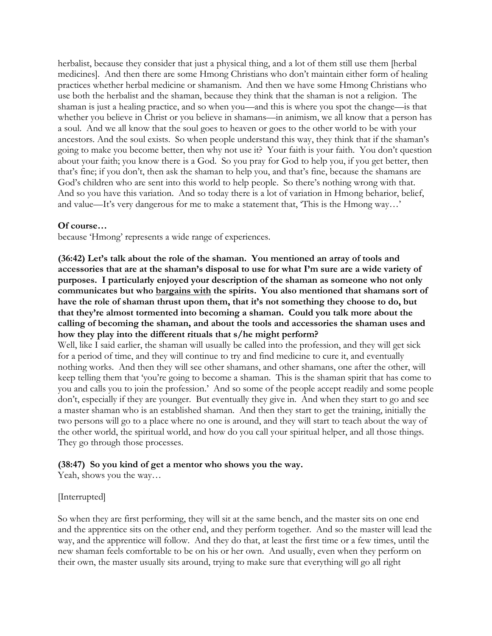herbalist, because they consider that just a physical thing, and a lot of them still use them [herbal medicines]. And then there are some Hmong Christians who don't maintain either form of healing practices whether herbal medicine or shamanism. And then we have some Hmong Christians who use both the herbalist and the shaman, because they think that the shaman is not a religion. The shaman is just a healing practice, and so when you—and this is where you spot the change—is that whether you believe in Christ or you believe in shamans—in animism, we all know that a person has a soul. And we all know that the soul goes to heaven or goes to the other world to be with your ancestors. And the soul exists. So when people understand this way, they think that if the shaman's going to make you become better, then why not use it? Your faith is your faith. You don't question about your faith; you know there is a God. So you pray for God to help you, if you get better, then that's fine; if you don't, then ask the shaman to help you, and that's fine, because the shamans are God's children who are sent into this world to help people. So there's nothing wrong with that. And so you have this variation. And so today there is a lot of variation in Hmong beharior, belief, and value—It's very dangerous for me to make a statement that, 'This is the Hmong way…'

#### **Of course…**

because 'Hmong' represents a wide range of experiences.

**(36:42) Let's talk about the role of the shaman. You mentioned an array of tools and accessories that are at the shaman's disposal to use for what I'm sure are a wide variety of purposes. I particularly enjoyed your description of the shaman as someone who not only communicates but who bargains with the spirits. You also mentioned that shamans sort of have the role of shaman thrust upon them, that it's not something they choose to do, but that they're almost tormented into becoming a shaman. Could you talk more about the calling of becoming the shaman, and about the tools and accessories the shaman uses and how they play into the different rituals that s/he might perform?**

Well, like I said earlier, the shaman will usually be called into the profession, and they will get sick for a period of time, and they will continue to try and find medicine to cure it, and eventually nothing works. And then they will see other shamans, and other shamans, one after the other, will keep telling them that 'you're going to become a shaman. This is the shaman spirit that has come to you and calls you to join the profession.' And so some of the people accept readily and some people don't, especially if they are younger. But eventually they give in. And when they start to go and see a master shaman who is an established shaman. And then they start to get the training, initially the two persons will go to a place where no one is around, and they will start to teach about the way of the other world, the spiritual world, and how do you call your spiritual helper, and all those things. They go through those processes.

#### **(38:47) So you kind of get a mentor who shows you the way.**

Yeah, shows you the way…

#### [Interrupted]

So when they are first performing, they will sit at the same bench, and the master sits on one end and the apprentice sits on the other end, and they perform together. And so the master will lead the way, and the apprentice will follow. And they do that, at least the first time or a few times, until the new shaman feels comfortable to be on his or her own. And usually, even when they perform on their own, the master usually sits around, trying to make sure that everything will go all right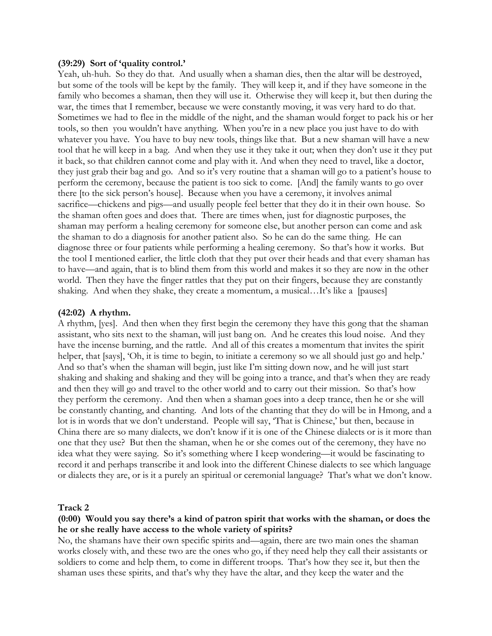#### **(39:29) Sort of 'quality control.'**

Yeah, uh-huh. So they do that. And usually when a shaman dies, then the altar will be destroyed, but some of the tools will be kept by the family. They will keep it, and if they have someone in the family who becomes a shaman, then they will use it. Otherwise they will keep it, but then during the war, the times that I remember, because we were constantly moving, it was very hard to do that. Sometimes we had to flee in the middle of the night, and the shaman would forget to pack his or her tools, so then you wouldn't have anything. When you're in a new place you just have to do with whatever you have. You have to buy new tools, things like that. But a new shaman will have a new tool that he will keep in a bag. And when they use it they take it out; when they don't use it they put it back, so that children cannot come and play with it. And when they need to travel, like a doctor, they just grab their bag and go. And so it's very routine that a shaman will go to a patient's house to perform the ceremony, because the patient is too sick to come. [And] the family wants to go over there [to the sick person's house]. Because when you have a ceremony, it involves animal sacrifice—chickens and pigs—and usually people feel better that they do it in their own house. So the shaman often goes and does that. There are times when, just for diagnostic purposes, the shaman may perform a healing ceremony for someone else, but another person can come and ask the shaman to do a diagnosis for another patient also. So he can do the same thing. He can diagnose three or four patients while performing a healing ceremony. So that's how it works. But the tool I mentioned earlier, the little cloth that they put over their heads and that every shaman has to have—and again, that is to blind them from this world and makes it so they are now in the other world. Then they have the finger rattles that they put on their fingers, because they are constantly shaking. And when they shake, they create a momentum, a musical…It's like a [pauses]

#### **(42:02) A rhythm.**

A rhythm, [yes]. And then when they first begin the ceremony they have this gong that the shaman assistant, who sits next to the shaman, will just bang on. And he creates this loud noise. And they have the incense burning, and the rattle. And all of this creates a momentum that invites the spirit helper, that [says], 'Oh, it is time to begin, to initiate a ceremony so we all should just go and help.' And so that's when the shaman will begin, just like I'm sitting down now, and he will just start shaking and shaking and shaking and they will be going into a trance, and that's when they are ready and then they will go and travel to the other world and to carry out their mission. So that's how they perform the ceremony. And then when a shaman goes into a deep trance, then he or she will be constantly chanting, and chanting. And lots of the chanting that they do will be in Hmong, and a lot is in words that we don't understand. People will say, 'That is Chinese,' but then, because in China there are so many dialects, we don't know if it is one of the Chinese dialects or is it more than one that they use? But then the shaman, when he or she comes out of the ceremony, they have no idea what they were saying. So it's something where I keep wondering—it would be fascinating to record it and perhaps transcribe it and look into the different Chinese dialects to see which language or dialects they are, or is it a purely an spiritual or ceremonial language? That's what we don't know.

#### **Track 2**

#### **(0:00) Would you say there's a kind of patron spirit that works with the shaman, or does the he or she really have access to the whole variety of spirits?**

No, the shamans have their own specific spirits and—again, there are two main ones the shaman works closely with, and these two are the ones who go, if they need help they call their assistants or soldiers to come and help them, to come in different troops. That's how they see it, but then the shaman uses these spirits, and that's why they have the altar, and they keep the water and the